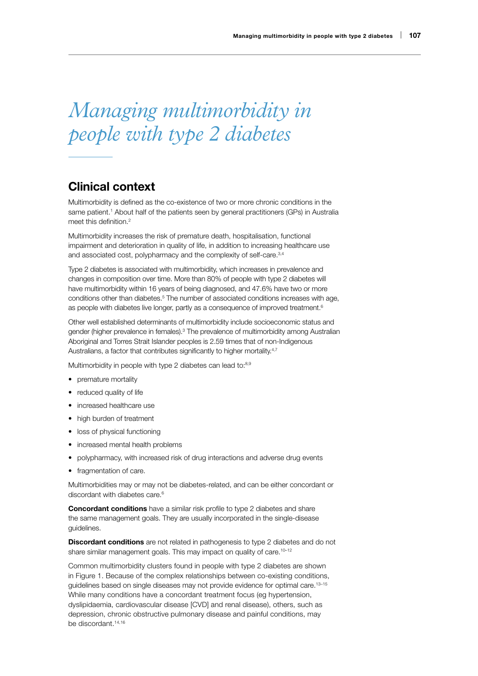# *Managing multimorbidity in people with type 2 diabetes*

# Clinical context

Multimorbidity is defined as the co-existence of two or more chronic conditions in the same patient.<sup>1</sup> About half of the patients seen by general practitioners (GPs) in Australia meet this definition.<sup>2</sup>

Multimorbidity increases the risk of premature death, hospitalisation, functional impairment and deterioration in quality of life, in addition to increasing healthcare use and associated cost, polypharmacy and the complexity of self-care.<sup>3,4</sup>

Type 2 diabetes is associated with multimorbidity, which increases in prevalence and changes in composition over time. More than 80% of people with type 2 diabetes will have multimorbidity within 16 years of being diagnosed, and 47.6% have two or more conditions other than diabetes.<sup>5</sup> The number of associated conditions increases with age, as people with diabetes live longer, partly as a consequence of improved treatment.<sup>6</sup>

Other well established determinants of multimorbidity include socioeconomic status and gender (higher prevalence in females).<sup>3</sup> The prevalence of multimorbidity among Australian Aboriginal and Torres Strait Islander peoples is 2.59 times that of non-Indigenous Australians, a factor that contributes significantly to higher mortality.<sup>4,7</sup>

Multimorbidity in people with type 2 diabetes can lead to:<sup>8,9</sup>

- premature mortality
- reduced quality of life
- increased healthcare use
- high burden of treatment
- loss of physical functioning
- increased mental health problems
- polypharmacy, with increased risk of drug interactions and adverse drug events
- fragmentation of care.

Multimorbidities may or may not be diabetes-related, and can be either concordant or discordant with diabetes care.<sup>6</sup>

**Concordant conditions** have a similar risk profile to type 2 diabetes and share the same management goals. They are usually incorporated in the single-disease guidelines.

**Discordant conditions** are not related in pathogenesis to type 2 diabetes and do not share similar management goals. This may impact on quality of care.<sup>10-12</sup>

Common multimorbidity clusters found in people with type 2 diabetes are shown in Figure 1. Because of the complex relationships between co-existing conditions, guidelines based on single diseases may not provide evidence for optimal care.<sup>13-15</sup> While many conditions have a concordant treatment focus (eg hypertension, dyslipidaemia, cardiovascular disease [CVD] and renal disease), others, such as depression, chronic obstructive pulmonary disease and painful conditions, may be discordant.<sup>14,16</sup>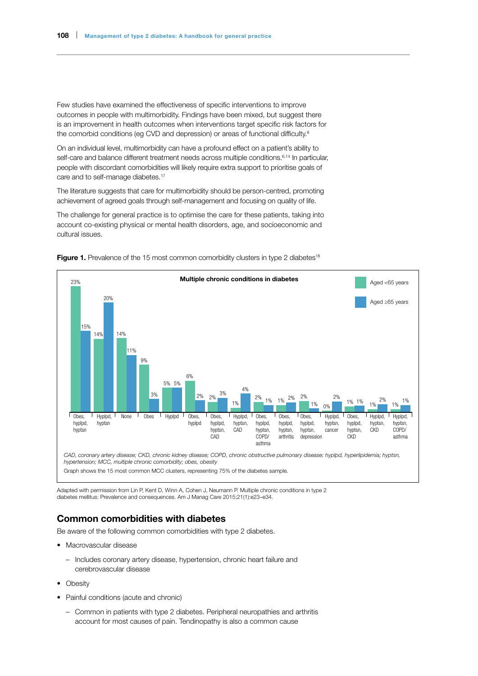Few studies have examined the effectiveness of specific interventions to improve outcomes in people with multimorbidity. Findings have been mixed, but suggest there is an improvement in health outcomes when interventions target specific risk factors for the comorbid conditions (eg CVD and depression) or areas of functional difficulty.<sup>8</sup>

On an individual level, multimorbidity can have a profound effect on a patient's ability to self-care and balance different treatment needs across multiple conditions.<sup>6,14</sup> In particular, people with discordant comorbidities will likely require extra support to prioritise goals of care and to self-manage diabetes.<sup>17</sup>

The literature suggests that care for multimorbidity should be person-centred, promoting achievement of agreed goals through self-management and focusing on quality of life.

The challenge for general practice is to optimise the care for these patients, taking into account co-existing physical or mental health disorders, age, and socioeconomic and cultural issues.



Figure 1. Prevalence of the 15 most common comorbidity clusters in type 2 diabetes<sup>18</sup>

Adapted with permission from Lin P, Kent D, Winn A, Cohen J, Neumann P. Multiple chronic conditions in type 2 diabetes mellitus: Prevalence and consequences. Am J Manag Care 2015;21(1):e23–e34.

## Common comorbidities with diabetes

Be aware of the following common comorbidities with type 2 diabetes.

- Macrovascular disease
	- Includes coronary artery disease, hypertension, chronic heart failure and cerebrovascular disease
- Obesity
- Painful conditions (acute and chronic)
	- Common in patients with type 2 diabetes. Peripheral neuropathies and arthritis account for most causes of pain. Tendinopathy is also a common cause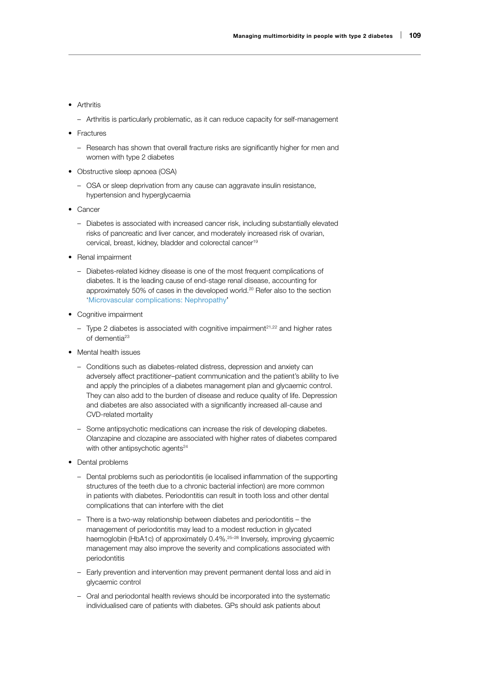#### • Arthritis

- Arthritis is particularly problematic, as it can reduce capacity for self-management
- Fractures
	- Research has shown that overall fracture risks are significantly higher for men and women with type 2 diabetes
- Obstructive sleep apnoea (OSA)
	- OSA or sleep deprivation from any cause can aggravate insulin resistance, hypertension and hyperglycaemia
- Cancer
	- Diabetes is associated with increased cancer risk, including substantially elevated risks of pancreatic and liver cancer, and moderately increased risk of ovarian, cervical, breast, kidney, bladder and colorectal cancer<sup>19</sup>
- Renal impairment
	- Diabetes-related kidney disease is one of the most frequent complications of diabetes. It is the leading cause of end-stage renal disease, accounting for approximately 50% of cases in the developed world.<sup>20</sup> Refer also to the section 'Microvascular complications: Nephropathy'
- Cognitive impairment
	- Type 2 diabetes is associated with cognitive impairment<sup>21,22</sup> and higher rates of dementia23
- Mental health issues
	- Conditions such as diabetes-related distress, depression and anxiety can adversely affect practitioner–patient communication and the patient's ability to live and apply the principles of a diabetes management plan and glycaemic control. They can also add to the burden of disease and reduce quality of life. Depression and diabetes are also associated with a significantly increased all-cause and CVD-related mortality
	- Some antipsychotic medications can increase the risk of developing diabetes. Olanzapine and clozapine are associated with higher rates of diabetes compared with other antipsychotic agents $24$
- Dental problems
	- Dental problems such as periodontitis (ie localised inflammation of the supporting structures of the teeth due to a chronic bacterial infection) are more common in patients with diabetes. Periodontitis can result in tooth loss and other dental complications that can interfere with the diet
	- There is a two-way relationship between diabetes and periodontitis the management of periodontitis may lead to a modest reduction in glycated haemoglobin (HbA1c) of approximately 0.4%.<sup>25–28</sup> Inversely, improving glycaemic management may also improve the severity and complications associated with periodontitis
	- Early prevention and intervention may prevent permanent dental loss and aid in glycaemic control
	- Oral and periodontal health reviews should be incorporated into the systematic individualised care of patients with diabetes. GPs should ask patients about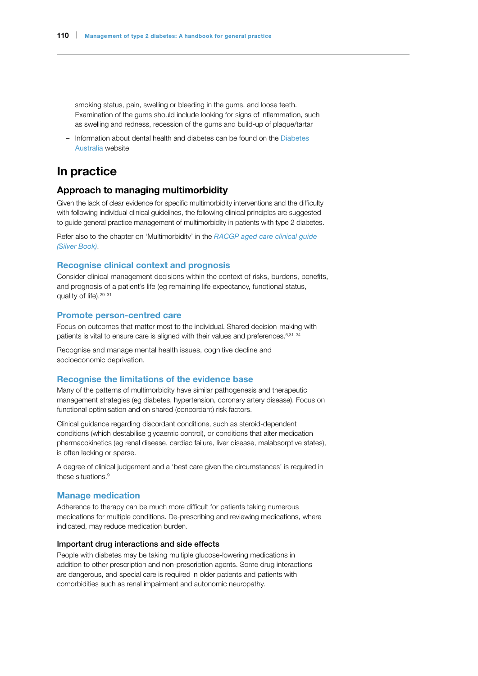smoking status, pain, swelling or bleeding in the gums, and loose teeth. Examination of the gums should include looking for signs of inflammation, such as swelling and redness, recession of the gums and build-up of plaque/tartar

– Information about dental health and diabetes can be found on the [Diabetes](https://www.diabetesaustralia.com.au/dental-health)  [Australia](https://www.diabetesaustralia.com.au/dental-health) website

# In practice

## Approach to managing multimorbidity

Given the lack of clear evidence for specific multimorbidity interventions and the difficulty with following individual clinical guidelines, the following clinical principles are suggested to guide general practice management of multimorbidity in patients with type 2 diabetes.

Refer also to the chapter on 'Multimorbidity' in the *[RACGP aged care clinical guide](https://www.racgp.org.au/clinical-resources/clinical-guidelines/key-racgp-guidelines/view-all-racgp-guidelines/silver-book-part-a/part-a/multimorbidity)  [\(Silver Book\)](https://www.racgp.org.au/clinical-resources/clinical-guidelines/key-racgp-guidelines/view-all-racgp-guidelines/silver-book-part-a/part-a/multimorbidity)*.

## Recognise clinical context and prognosis

Consider clinical management decisions within the context of risks, burdens, benefits, and prognosis of a patient's life (eg remaining life expectancy, functional status, quality of life).29–31

## Promote person-centred care

Focus on outcomes that matter most to the individual. Shared decision-making with patients is vital to ensure care is aligned with their values and preferences.<sup>6,31-34</sup>

Recognise and manage mental health issues, cognitive decline and socioeconomic deprivation.

### Recognise the limitations of the evidence base

Many of the patterns of multimorbidity have similar pathogenesis and therapeutic management strategies (eg diabetes, hypertension, coronary artery disease). Focus on functional optimisation and on shared (concordant) risk factors.

Clinical guidance regarding discordant conditions, such as steroid-dependent conditions (which destabilise glycaemic control), or conditions that alter medication pharmacokinetics (eg renal disease, cardiac failure, liver disease, malabsorptive states), is often lacking or sparse.

A degree of clinical judgement and a 'best care given the circumstances' is required in these situations.<sup>9</sup>

#### Manage medication

Adherence to therapy can be much more difficult for patients taking numerous medications for multiple conditions. De-prescribing and reviewing medications, where indicated, may reduce medication burden.

#### Important drug interactions and side effects

People with diabetes may be taking multiple glucose-lowering medications in addition to other prescription and non-prescription agents. Some drug interactions are dangerous, and special care is required in older patients and patients with comorbidities such as renal impairment and autonomic neuropathy.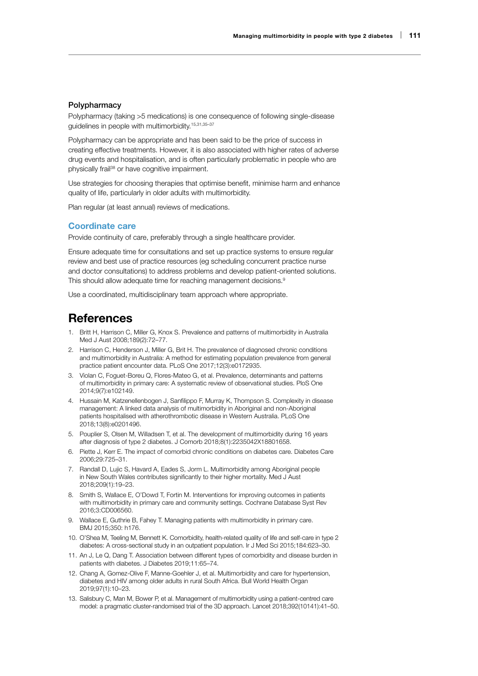#### **Polypharmacy**

Polypharmacy (taking >5 medications) is one consequence of following single-disease guidelines in people with multimorbidity.15,31,35–37

Polypharmacy can be appropriate and has been said to be the price of success in creating effective treatments. However, it is also associated with higher rates of adverse drug events and hospitalisation, and is often particularly problematic in people who are physically frail38 or have cognitive impairment.

Use strategies for choosing therapies that optimise benefit, minimise harm and enhance quality of life, particularly in older adults with multimorbidity.

Plan regular (at least annual) reviews of medications.

## Coordinate care

Provide continuity of care, preferably through a single healthcare provider.

Ensure adequate time for consultations and set up practice systems to ensure regular review and best use of practice resources (eg scheduling concurrent practice nurse and doctor consultations) to address problems and develop patient-oriented solutions. This should allow adequate time for reaching management decisions.9

Use a coordinated, multidisciplinary team approach where appropriate.

# **References**

- 1. Britt H, Harrison C, Miller G, Knox S. Prevalence and patterns of multimorbidity in Australia Med J Aust 2008;189(2):72–77.
- 2. Harrison C, Henderson J, Miller G, Brit H. The prevalence of diagnosed chronic conditions and multimorbidity in Australia: A method for estimating population prevalence from general practice patient encounter data. PLoS One 2017;12(3):e0172935.
- 3. Violan C, Foguet-Boreu Q, Flores-Mateo G, et al. Prevalence, determinants and patterns of multimorbidity in primary care: A systematic review of observational studies. PloS One 2014;9(7):e102149.
- 4. Hussain M, Katzenellenbogen J, Sanfilippo F, Murray K, Thompson S. Complexity in disease management: A linked data analysis of multimorbidity in Aboriginal and non-Aboriginal patients hospitalised with atherothrombotic disease in Western Australia. PLoS One 2018;13(8):e0201496.
- 5. Pouplier S, Olsen M, Willadsen T, et al. The development of multimorbidity during 16 years after diagnosis of type 2 diabetes. J Comorb 2018;8(1):2235042X18801658.
- 6. Piette J, Kerr E. The impact of comorbid chronic conditions on diabetes care. Diabetes Care 2006;29:725–31.
- 7. Randall D, Lujic S, Havard A, Eades S, Jorm L. Multimorbidity among Aboriginal people in New South Wales contributes significantly to their higher mortality. Med J Aust 2018;209(1):19–23.
- 8. Smith S, Wallace E, O'Dowd T, Fortin M. Interventions for improving outcomes in patients with multimorbidity in primary care and community settings. Cochrane Database Syst Rev 2016;3:CD006560.
- 9. Wallace E, Guthrie B, Fahey T. Managing patients with multimorbidity in primary care. BMJ 2015;350: h176.
- 10. O'Shea M, Teeling M, Bennett K. Comorbidity, health-related quality of life and self-care in type 2 diabetes: A cross-sectional study in an outpatient population. Ir J Med Sci 2015;184:623–30.
- 11. An J, Le Q, Dang T. Association between different types of comorbidity and disease burden in patients with diabetes. J Diabetes 2019;11:65–74.
- 12. Chang A, Gomez-Olive F, Manne-Goehler J, et al. Multimorbidity and care for hypertension, diabetes and HIV among older adults in rural South Africa. Bull World Health Organ 2019;97(1):10–23.
- 13. Salisbury C, Man M, Bower P, et al. Management of multimorbidity using a patient-centred care model: a pragmatic cluster-randomised trial of the 3D approach. Lancet 2018;392(10141):41–50.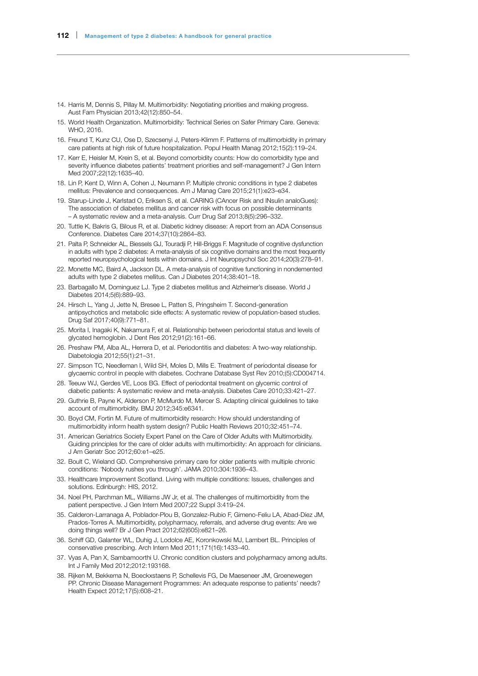- 14. Harris M, Dennis S, Pillay M. Multimorbidity: Negotiating priorities and making progress. Aust Fam Physician 2013;42(12):850–54.
- 15. World Health Organization. Multimorbidity: Technical Series on Safer Primary Care. Geneva: WHO, 2016.
- 16. Freund T, Kunz CU, Ose D, Szecsenyi J, Peters-Klimm F. Patterns of multimorbidity in primary care patients at high risk of future hospitalization. Popul Health Manag 2012;15(2):119–24.
- 17. Kerr E, Heisler M, Krein S, et al. Beyond comorbidity counts: How do comorbidity type and severity influence diabetes patients' treatment priorities and self-management? J Gen Intern Med 2007;22(12):1635–40.
- 18. Lin P, Kent D, Winn A, Cohen J, Neumann P. Multiple chronic conditions in type 2 diabetes mellitus: Prevalence and consequences. Am J Manag Care 2015;21(1):e23–e34.
- 19. Starup-Linde J, Karlstad O, Eriksen S, et al. CARING (CAncer Risk and INsulin analoGues): The association of diabetes mellitus and cancer risk with focus on possible determinants – A systematic review and a meta-analysis. Curr Drug Saf 2013;8(5):296–332.
- 20. Tuttle K, Bakris G, Bilous R, et al. Diabetic kidney disease: A report from an ADA Consensus Conference. Diabetes Care 2014;37(10):2864–83.
- 21. Palta P, Schneider AL, Biessels GJ, Touradji P, Hill-Briggs F. Magnitude of cognitive dysfunction in adults with type 2 diabetes: A meta-analysis of six cognitive domains and the most frequently reported neuropsychological tests within domains. J Int Neuropsychol Soc 2014;20(3):278–91.
- 22. Monette MC, Baird A, Jackson DL. A meta-analysis of cognitive functioning in nondemented adults with type 2 diabetes mellitus. Can J Diabetes 2014;38:401–18.
- 23. Barbagallo M, Dominguez LJ. Type 2 diabetes mellitus and Alzheimer's disease. World J Diabetes 2014;5(6):889–93.
- 24. Hirsch L, Yang J, Jette N, Bresee L, Patten S, Pringsheim T. Second-generation antipsychotics and metabolic side effects: A systematic review of population-based studies. Drug Saf 2017;40(9):771–81.
- 25. Morita I, Inagaki K, Nakamura F, et al. Relationship between periodontal status and levels of glycated hemoglobin. J Dent Res 2012;91(2):161–66.
- 26. Preshaw PM, Alba AL, Herrera D, et al. Periodontitis and diabetes: A two-way relationship. Diabetologia 2012;55(1):21–31.
- 27. Simpson TC, Needleman I, Wild SH, Moles D, Mills E. Treatment of periodontal disease for glycaemic control in people with diabetes. Cochrane Database Syst Rev 2010;(5):CD004714.
- 28. Teeuw WJ, Gerdes VE, Loos BG. Effect of periodontal treatment on glycemic control of diabetic patients: A systematic review and meta-analysis. Diabetes Care 2010;33:421–27.
- 29. Guthrie B, Payne K, Alderson P, McMurdo M, Mercer S. Adapting clinical guidelines to take account of multimorbidity. BMJ 2012;345:e6341.
- 30. Boyd CM, Fortin M. Future of multimorbidity research: How should understanding of multimorbidity inform health system design? Public Health Reviews 2010;32:451–74.
- 31. American Geriatrics Society Expert Panel on the Care of Older Adults with Multimorbidity. Guiding principles for the care of older adults with multimorbidity: An approach for clinicians. J Am Geriatr Soc 2012;60:e1–e25.
- 32. Boult C, Wieland GD. Comprehensive primary care for older patients with multiple chronic conditions: 'Nobody rushes you through'. JAMA 2010;304:1936–43.
- 33. Healthcare Improvement Scotland. Living with multiple conditions: Issues, challenges and solutions. Edinburgh: HIS, 2012.
- 34. Noel PH, Parchman ML, Williams JW Jr, et al. The challenges of multimorbidity from the patient perspective. J Gen Intern Med 2007;22 Suppl 3:419–24.
- 35. Calderon-Larranaga A, Poblador-Plou B, Gonzalez-Rubio F, Gimeno-Feliu LA, Abad-Díez JM, Prados-Torres A. Multimorbidity, polypharmacy, referrals, and adverse drug events: Are we doing things well? Br J Gen Pract 2012;62(605):e821–26.
- 36. Schiff GD, Galanter WL, Duhig J, Lodolce AE, Koronkowski MJ, Lambert BL. Principles of conservative prescribing. Arch Intern Med 2011;171(16):1433–40.
- 37. Vyas A, Pan X, Sambamoorthi U. Chronic condition clusters and polypharmacy among adults. Int J Family Med 2012;2012:193168.
- 38. Rijken M, Bekkema N, Boeckxstaens P, Schellevis FG, De Maeseneer JM, Groenewegen PP. Chronic Disease Management Programmes: An adequate response to patients' needs? Health Expect 2012;17(5):608–21.